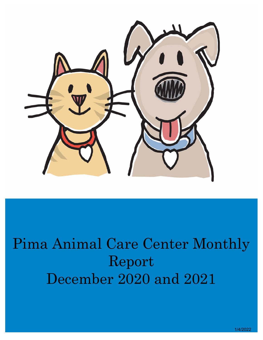

# Pima Animal Care Center Monthly Report December 2020 and 2021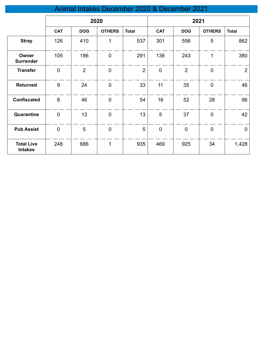# Animal Intakes December 2020 & December 2021

|                                     | 2020        |                |                  |                |             | 2021           |                |                |
|-------------------------------------|-------------|----------------|------------------|----------------|-------------|----------------|----------------|----------------|
|                                     | <b>CAT</b>  | <b>DOG</b>     | <b>OTHERS</b>    | <b>Total</b>   | <b>CAT</b>  | <b>DOG</b>     | <b>OTHERS</b>  | <b>Total</b>   |
| <b>Stray</b>                        | 126         | 410            | 1                | 537            | 301         | 556            | 5              | 862            |
| Owner<br><b>Surrender</b>           | 105         | 186            | $\boldsymbol{0}$ | 291            | 136         | 243            | 1              | 380            |
| <b>Transfer</b>                     | $\mathbf 0$ | $\overline{2}$ | $\mathbf 0$      | $\overline{2}$ | $\mathbf 0$ | $\overline{2}$ | $\mathbf 0$    | $\overline{2}$ |
| <b>Returned</b>                     | 9           | 24             | $\mathbf 0$      | 33             | 11          | 35             | $\mathbf 0$    | 46             |
| <b>Confiscated</b>                  | $\bf 8$     | 46             | $\boldsymbol{0}$ | 54             | 16          | 52             | 28             | 96             |
| Quarantine                          | $\mathbf 0$ | 13             | $\mathbf 0$      | 13             | 5           | 37             | $\overline{0}$ | 42             |
| <b>Pub Assist</b>                   | $\mathbf 0$ | 5              | $\mathbf 0$      | 5              | $\mathbf 0$ | $\mathbf 0$    | $\mathbf 0$    | $\mathbf 0$    |
| <b>Total Live</b><br><b>Intakes</b> | 248         | 686            | 1                | 935            | 469         | 925            | 34             | 1,428          |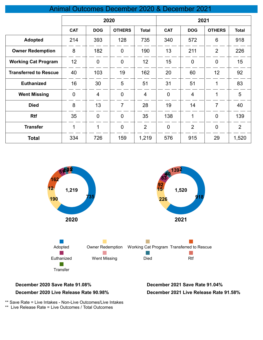#### Animal Outcomes December 2020 & December 2021

|                              | 2020           |                |                | 2021           |                |                |                |                |
|------------------------------|----------------|----------------|----------------|----------------|----------------|----------------|----------------|----------------|
|                              | <b>CAT</b>     | <b>DOG</b>     | <b>OTHERS</b>  | <b>Total</b>   | <b>CAT</b>     | <b>DOG</b>     | <b>OTHERS</b>  | <b>Total</b>   |
| <b>Adopted</b>               | 214            | 393            | 128            | 735            | 340            | 572            | 6              | 918            |
| <b>Owner Redemption</b>      | 8              | 182            | $\overline{0}$ | 190            | 13             | 211            | $\overline{2}$ | 226            |
| <b>Working Cat Program</b>   | 12             | $\overline{0}$ | $\overline{0}$ | 12             | 15             | $\overline{0}$ | $\overline{0}$ | 15             |
| <b>Transferred to Rescue</b> | 40             | 103            | 19             | 162            | 20             | 60             | 12             | 92             |
| <b>Euthanized</b>            | 16             | 30             | 5              | 51             | 31             | 51             | 1              | 83             |
| <b>Went Missing</b>          | $\overline{0}$ | $\overline{4}$ | $\overline{0}$ | $\overline{4}$ | $\overline{0}$ | $\overline{4}$ | $\mathbf{1}$   | 5              |
| <b>Died</b>                  | 8              | 13             | $\overline{7}$ | 28             | 19             | 14             | 7              | 40             |
| <b>Rtf</b>                   | 35             | $\overline{0}$ | $\overline{0}$ | 35             | 138            | 1              | $\overline{0}$ | 139            |
| <b>Transfer</b>              | 1              | 1              | $\overline{0}$ | $\overline{2}$ | $\overline{0}$ | $\overline{2}$ | $\mathbf 0$    | $\overline{2}$ |
| <b>Total</b>                 | 334            | 726            | 159            | 1,219          | 576            | 915            | 29             | 1,520          |



#### **December 2020 Save Rate 91.08% December 2021 Save Rate 91.04%**

#### **December 2020 Live Release Rate 90.98%**

**December 2021 Live Release Rate 91.58%**

\*\* Save Rate = Live Intakes - Non-Live Outcomes/Live Intakes

\*\* Live Release Rate = Live Outcomes / Total Outcomes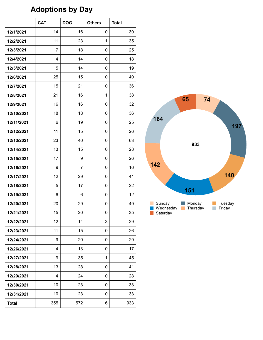# **Adoptions by Day**

|              | <b>CAT</b>     | <b>DOG</b> | <b>Others</b> | <b>Total</b> |
|--------------|----------------|------------|---------------|--------------|
| 12/1/2021    | 14             | 16         | 0             | 30           |
| 12/2/2021    | 11             | 23         | 1             | 35           |
| 12/3/2021    | $\overline{7}$ | 18         | 0             | 25           |
| 12/4/2021    | 4              | 14         | 0             | 18           |
| 12/5/2021    | 5              | 14         | 0             | 19           |
| 12/6/2021    | 25             | 15         | 0             | 40           |
| 12/7/2021    | 15             | 21         | 0             | 36           |
| 12/8/2021    | 21             | 16         | 1             | 38           |
| 12/9/2021    | 16             | 16         | 0             | 32           |
| 12/10/2021   | 18             | 18         | 0             | 36           |
| 12/11/2021   | 6              | 19         | 0             | 25           |
| 12/12/2021   | 11             | 15         | 0             | 26           |
| 12/13/2021   | 23             | 40         | 0             | 63           |
| 12/14/2021   | 13             | 15         | 0             | 28           |
| 12/15/2021   | 17             | 9          | 0             | 26           |
| 12/16/2021   | 9              | 7          | 0             | 16           |
| 12/17/2021   | 12             | 29         | 0             | 41           |
| 12/18/2021   | 5              | 17         | 0             | 22           |
| 12/19/2021   | 6              | 6          | 0             | 12           |
| 12/20/2021   | 20             | 29         | 0             | 49           |
| 12/21/2021   | 15             | 20         | U             | 35           |
| 12/22/2021   | 12             | 14         | 3             | 29           |
| 12/23/2021   | 11             | 15         | 0             | 26           |
| 12/24/2021   | 9              | 20         | 0             | 29           |
| 12/26/2021   | 4              | 13         | 0             | 17           |
| 12/27/2021   | 9              | 35         | 1             | 45           |
| 12/28/2021   | 13             | 28         | 0             | 41           |
| 12/29/2021   | 4              | 24         | 0             | 28           |
| 12/30/2021   | 10             | 23         | 0             | 33           |
| 12/31/2021   | 10             | 23         | 0             | 33           |
| <b>Total</b> | 355            | 572        | 6             | 933          |

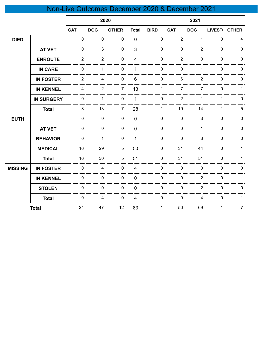# Non-Live Outcomes December 2020 & December 2021

|                |                   | 2020           |                |                |                |              | 2021           |                |               |                |
|----------------|-------------------|----------------|----------------|----------------|----------------|--------------|----------------|----------------|---------------|----------------|
|                |                   | <b>CAT</b>     | <b>DOG</b>     | <b>OTHER</b>   | <b>Total</b>   | <b>BIRD</b>  | <b>CAT</b>     | <b>DOG</b>     | <b>LIVEST</b> | <b>OTHER</b>   |
| <b>DIED</b>    |                   | $\mathbf 0$    | $\mathbf 0$    | $\pmb{0}$      | $\overline{0}$ | 0            | $\overline{2}$ | $\mathbf{1}$   | $\mathbf 0$   | $\overline{4}$ |
|                | <b>AT VET</b>     | $\mathbf 0$    | $\mathbf{3}$   | $\pmb{0}$      | 3              | 0            | $\mathbf 0$    | $\overline{2}$ | $\mathbf 0$   | $\pmb{0}$      |
|                | <b>ENROUTE</b>    | $\overline{2}$ | $\overline{2}$ | $\mathbf 0$    | $\overline{4}$ | 0            | $\overline{2}$ | 0              | $\mathbf 0$   | $\mathbf 0$    |
|                | <b>IN CARE</b>    | $\pmb{0}$      | $\mathbf{1}$   | $\pmb{0}$      | $\mathbf{1}$   | $\mathbf 0$  | $\mathbf 0$    | $\mathbf{1}$   | $\mathbf 0$   | $\pmb{0}$      |
|                | <b>IN FOSTER</b>  | $\overline{2}$ | $\overline{4}$ | $\mathbf 0$    | $6\phantom{1}$ | $\mathbf 0$  | 6              | $\overline{2}$ | $\mathbf 0$   | $\mathbf 0$    |
|                | <b>IN KENNEL</b>  | $\overline{4}$ | $\overline{2}$ | $\overline{7}$ | 13             | $\mathbf{1}$ | $\overline{7}$ | $\overline{7}$ | $\mathbf 0$   | $\mathbf{1}$   |
|                | <b>IN SURGERY</b> | $\mathbf 0$    | $\mathbf{1}$   | $\pmb{0}$      | 1              | 0            | $\overline{2}$ | 1              | 1             | $\mathbf 0$    |
|                | <b>Total</b>      | 8              | 13             | $\overline{7}$ | 28             | $\mathbf{1}$ | 19             | 14             | 1             | $\overline{5}$ |
| <b>EUTH</b>    |                   | $\mathbf 0$    | $\mathbf 0$    | $\pmb{0}$      | $\overline{0}$ | 0            | $\mathbf 0$    | 3              | $\mathbf 0$   | $\mathbf 0$    |
|                | <b>AT VET</b>     | $\mathbf 0$    | $\mathbf 0$    | $\mathbf 0$    | $\mathbf 0$    | $\mathbf 0$  | $\mathbf 0$    | $\mathbf{1}$   | $\mathbf 0$   | $\mathbf 0$    |
|                | <b>BEHAVIOR</b>   | $\mathbf 0$    | $\mathbf{1}$   | $\pmb{0}$      | 1              | 0            | $\mathbf 0$    | 3              | $\mathbf 0$   | $\pmb{0}$      |
|                | <b>MEDICAL</b>    | 16             | 29             | 5              | 50             | 0            | 31             | 44             | $\mathbf 0$   | $\mathbf{1}$   |
|                | <b>Total</b>      | 16             | 30             | 5              | 51             | 0            | 31             | 51             | $\mathbf 0$   | $\mathbf{1}$   |
| <b>MISSING</b> | <b>IN FOSTER</b>  | $\mathbf 0$    | $\overline{4}$ | $\pmb{0}$      | $\overline{4}$ | 0            | $\mathbf 0$    | $\mathbf 0$    | $\mathbf 0$   | $\pmb{0}$      |
|                | <b>IN KENNEL</b>  | $\mathbf 0$    | $\mathbf 0$    | $\pmb{0}$      | $\pmb{0}$      | 0            | $\mathbf 0$    | $\overline{2}$ | $\mathbf 0$   | $\mathbf{1}$   |
|                | <b>STOLEN</b>     | $\mathbf 0$    | $\mathbf 0$    | $\pmb{0}$      | $\mathbf 0$    | 0            | $\mathbf 0$    | $\overline{2}$ | $\mathbf 0$   | $\pmb{0}$      |
|                | <b>Total</b>      | $\mathbf 0$    | $\overline{4}$ | $\pmb{0}$      | $\overline{4}$ | 0            | $\mathbf 0$    | 4              | $\mathbf 0$   | $\mathbf{1}$   |
|                | <b>Total</b>      | 24             | 47             | 12             | 83             | $\mathbf 1$  | 50             | 69             | $\mathbf{1}$  | $\overline{7}$ |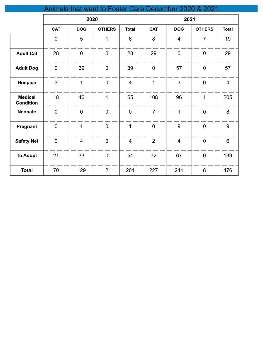| Animals that went to Foster Care December 2020 & 2021 |                |                          |                |                |                |                |                |                |  |
|-------------------------------------------------------|----------------|--------------------------|----------------|----------------|----------------|----------------|----------------|----------------|--|
|                                                       |                |                          | 2020           |                |                | 2021           |                |                |  |
|                                                       | <b>CAT</b>     | <b>DOG</b>               | <b>OTHERS</b>  | <b>Total</b>   | <b>CAT</b>     | <b>DOG</b>     | <b>OTHERS</b>  | <b>Total</b>   |  |
|                                                       | $\overline{0}$ | 5                        | 1              | 6              | 8              | $\overline{4}$ | $\overline{7}$ | 19             |  |
| <b>Adult Cat</b>                                      | 28             | $\overline{0}$           | $\mathbf 0$    | 28             | 29             | $\mathbf 0$    | $\mathbf 0$    | 29             |  |
| <b>Adult Dog</b>                                      | $\pmb{0}$      | 39                       | $\mathbf 0$    | 39             | $\mathbf 0$    | 57             | $\mathbf 0$    | 57             |  |
| <b>Hospice</b>                                        | 3              | $\mathbf{1}$             | $\overline{0}$ | $\overline{4}$ | $\mathbf{1}$   | 3              | $\overline{0}$ | $\overline{4}$ |  |
| <b>Medical</b><br><b>Condition</b>                    | 18             | 46                       | $\overline{1}$ | 65             | 108            | 96             | $\mathbf{1}$   | 205            |  |
| <b>Neonate</b>                                        | $\pmb{0}$      | $\overline{0}$           | $\mathbf 0$    | $\overline{0}$ | $\overline{7}$ | $\overline{1}$ | $\overline{0}$ | 8              |  |
| Pregnant                                              | $\mathbf 0$    | $\overline{1}$           | $\overline{0}$ | $\overline{1}$ | $\overline{0}$ | 9              | $\overline{0}$ | 9              |  |
| <b>Safety Net</b>                                     | $\overline{0}$ | $\overline{\mathcal{A}}$ | $\mathbf 0$    | $\overline{4}$ | $\overline{2}$ | $\overline{4}$ | $\mathbf 0$    | $6\phantom{1}$ |  |
| <b>To Adopt</b>                                       | 21             | 33                       | $\mathbf 0$    | 54             | 72             | 67             | $\mathbf 0$    | 139            |  |
| <b>Total</b>                                          | 70             | 129                      | $\overline{2}$ | 201            | 227            | 241            | 8              | 476            |  |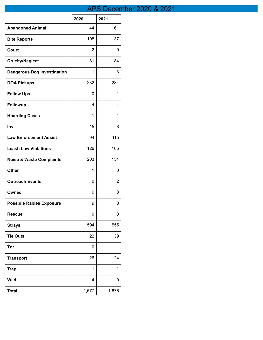# APS December 2020 & 2021

|                                     | 2020        | 2021  |
|-------------------------------------|-------------|-------|
| <b>Abandoned Animal</b>             | 44          | 61    |
| <b>Bite Reports</b>                 | 108         | 137   |
| Court                               | 2           | 0     |
| <b>Cruelty/Neglect</b>              | 81          | 84    |
| <b>Dangerous Dog Investigation</b>  | 1           | 3     |
| <b>DOA Pickups</b>                  | 232         | 284   |
| <b>Follow Ups</b>                   | 0           | 1     |
| Followup                            | 4           | 4     |
| <b>Hoarding Cases</b>               | 1           | 4     |
| Inv                                 | 15          | 8     |
| <b>Law Enforcement Assist</b>       | 94          | 115   |
| <b>Leash Law Violations</b>         | 126         | 165   |
| <b>Noise &amp; Waste Complaints</b> | 203         | 154   |
| <b>Other</b>                        | 1           | 0     |
| <b>Outreach Events</b>              | 0           | 2     |
| Owned                               | 9           | 8     |
| <b>Possbile Rabies Exposure</b>     | 9           | 8     |
| <b>Rescue</b>                       | $\mathbf 0$ | 8     |
| <b>Strays</b>                       | 594         | 555   |
| <b>Tie Outs</b>                     | 22          | 39    |
| Tnr                                 | 0           | 11    |
| <b>Transport</b>                    | 26          | 24    |
| <b>Trap</b>                         | 1           | 1     |
| <b>Wild</b>                         | 4           | 0     |
| <b>Total</b>                        | 1,577       | 1,676 |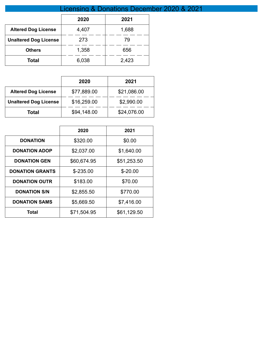|                              | Licensing & Donations December 2020 & 2021 |       |  |  |  |  |
|------------------------------|--------------------------------------------|-------|--|--|--|--|
|                              | 2020                                       | 2021  |  |  |  |  |
| <b>Altered Dog License</b>   | 4,407                                      | 1,688 |  |  |  |  |
| <b>Unaltered Dog License</b> | 273                                        | 79    |  |  |  |  |
| <b>Others</b>                | 1,358                                      | 656   |  |  |  |  |
| Total                        | 6,038                                      | 2,423 |  |  |  |  |

|                              | 2020        | 2021        |
|------------------------------|-------------|-------------|
| <b>Altered Dog License</b>   | \$77,889.00 | \$21,086.00 |
| <b>Unaltered Dog License</b> | \$16,259.00 | \$2,990.00  |
| Total                        | \$94,148.00 | \$24,076.00 |

|                        | 2020        | 2021        |
|------------------------|-------------|-------------|
| <b>DONATION</b>        | \$320.00    | \$0.00      |
| <b>DONATION ADOP</b>   | \$2,037.00  | \$1,640.00  |
| <b>DONATION GEN</b>    | \$60,674.95 | \$51,253.50 |
| <b>DONATION GRANTS</b> | $$-235.00$  | $$ -20.00$  |
| <b>DONATION OUTR</b>   | \$183.00    | \$70.00     |
| <b>DONATION S/N</b>    | \$2,855.50  | \$770.00    |
| <b>DONATION SAMS</b>   | \$5,669.50  | \$7,416.00  |
| Total                  | \$71,504.95 | \$61,129.50 |